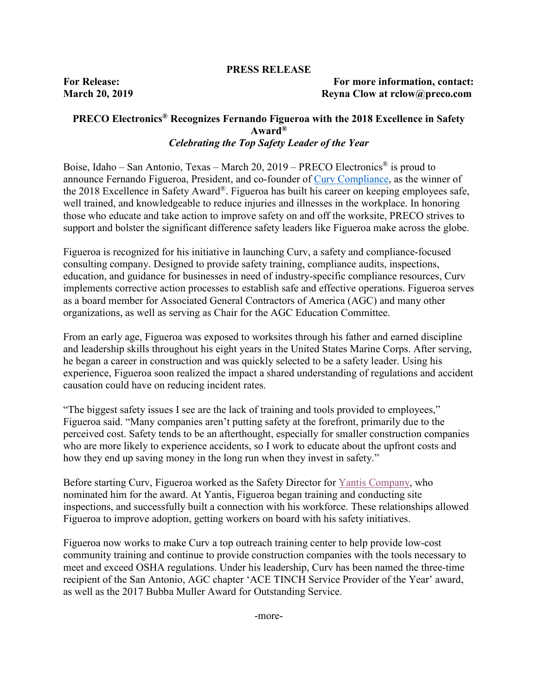#### **PRESS RELEASE**

#### **For Release: For more information, contact: March 20, 2019 Reyna Clow at rclow@preco.com**

### **PRECO Electronics® Recognizes Fernando Figueroa with the 2018 Excellence in Safety Award®** *Celebrating the Top Safety Leader of the Year*

Boise, Idaho – San Antonio, Texas – March 20, 2019 – PRECO Electronics® is proud to announce Fernando Figueroa, President, and co-founder of [Curv Compliance,](https://www.curvcompliance.com/) as the winner of the 2018 Excellence in Safety Award®. Figueroa has built his career on keeping employees safe, well trained, and knowledgeable to reduce injuries and illnesses in the workplace. In honoring those who educate and take action to improve safety on and off the worksite, PRECO strives to support and bolster the significant difference safety leaders like Figueroa make across the globe.

Figueroa is recognized for his initiative in launching Curv, a safety and compliance-focused consulting company. Designed to provide safety training, compliance audits, inspections, education, and guidance for businesses in need of industry-specific compliance resources, Curv implements corrective action processes to establish safe and effective operations. Figueroa serves as a board member for Associated General Contractors of America (AGC) and many other organizations, as well as serving as Chair for the AGC Education Committee.

From an early age, Figueroa was exposed to worksites through his father and earned discipline and leadership skills throughout his eight years in the United States Marine Corps. After serving, he began a career in construction and was quickly selected to be a safety leader. Using his experience, Figueroa soon realized the impact a shared understanding of regulations and accident causation could have on reducing incident rates.

"The biggest safety issues I see are the lack of training and tools provided to employees," Figueroa said. "Many companies aren't putting safety at the forefront, primarily due to the perceived cost. Safety tends to be an afterthought, especially for smaller construction companies who are more likely to experience accidents, so I work to educate about the upfront costs and how they end up saving money in the long run when they invest in safety."

Before starting Curv, Figueroa worked as the Safety Director for [Yantis Company,](https://www.yantiscompany.com/) who nominated him for the award. At Yantis, Figueroa began training and conducting site inspections, and successfully built a connection with his workforce. These relationships allowed Figueroa to improve adoption, getting workers on board with his safety initiatives.

Figueroa now works to make Curv a top outreach training center to help provide low-cost community training and continue to provide construction companies with the tools necessary to meet and exceed OSHA regulations. Under his leadership, Curv has been named the three-time recipient of the San Antonio, AGC chapter 'ACE TINCH Service Provider of the Year' award, as well as the 2017 Bubba Muller Award for Outstanding Service.